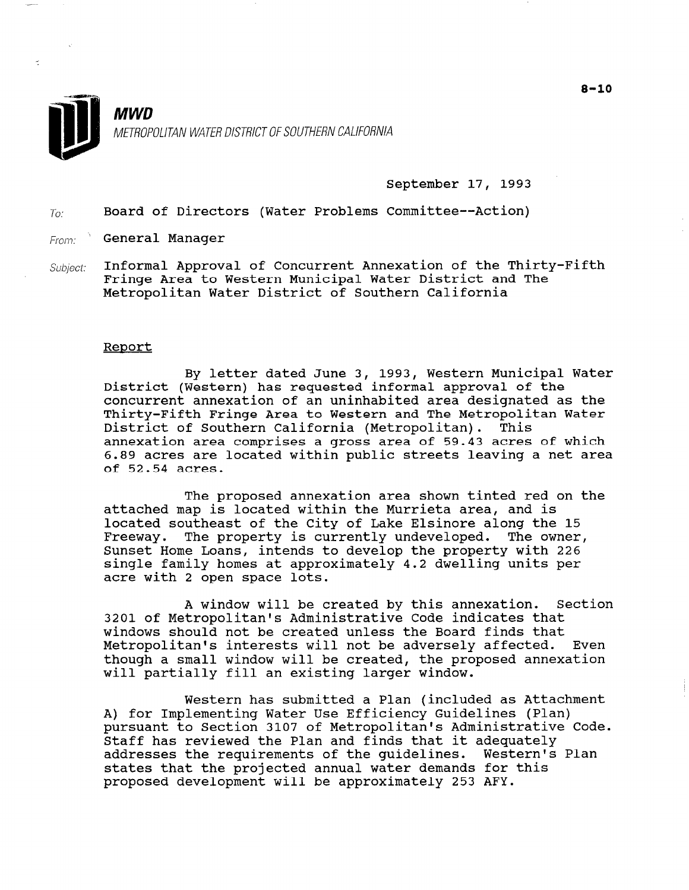

 $\tilde{\mathcal{L}}$ 

## MWD METROPOLITAN WATER DISTRICT OF SOUTHERN CALIFORNIA

#### September 17, 1993

 $T_{0}$ : Board of Directors (Water Problems Committee--Action)

From: General Manager

Subject: Informal Approval of Concurrent Annexation of the Thirty-Fifth Fringe Area to Western Municipal Water District and The Metropolitan Water District of Southern California

#### Reoort

By letter dated June 3, 1993, Western Municipal Water  $\frac{1}{2}$  preset ances can by probly weatern manipum. concurrent annexation of an uninhabited area designated as the Thirty-Fifth Fringe Area to Western and The Metropolitan Water District of Southern California (Metropolitan). This annexation area comprises a gross area of 59.43 acres of which 6.89 acres are located within public streets leaving a net area of 52.54 acres.

The proposed annexation area shown tinted red on the attached map is located within the Murrieta area, and is located southeast of the City of Lake Elsinore along the 15 Freeway. The property is currently undeveloped. The owner, Sunset Home Loans, intends to develop the property with 226 single family homes at approximately 4.2 dwelling units per acre with 2 open space lots.

A window will be created by this annexation. Section 3201 of Metropolitan's Administrative Code indicates that windows should not be created unless the Board finds that Metropolitan's interests will not be adversely affected. Even though a small window will not be duversery directed. By will partially fill an existing larger window.

Western has submitted a Plan (included as Attachment WESTELH HAS SUDELLUED A FIAH (INCLUDED AS ATTACH pursuant to Section 3107 of Metropolitan's Administrative Code. pursuant to Section 3107 Of Metropolitan's Administrat starr nas reviewed the Plan and rinds that it adequately<br>cadwesses the weavingspate of the guidelines. Western's Plan addresses the requirements of the guidelines. Western's Plan states that the projected annual water demands for this proposed development will be approximately 253 AFY.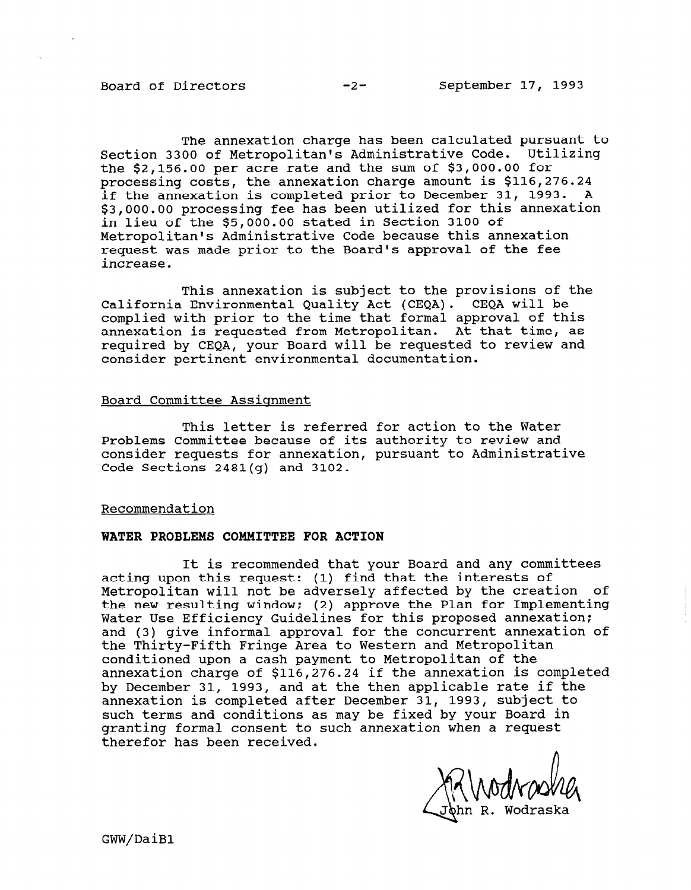The annexation charge has been calculated pursuant to Section 3300 of Metropolitan's Administrative Code. Utilizing the \$2,156.00 per acre rate and the sum of \$3,000.00 for processing costs, the annexation charge amount is \$116,276.24 if the annexation is completed prior to December 31, 1993. A \$3,000.00 processing fee has been utilized for this annexation in lieu of the \$5,000.00 stated in Section 3100 of Metropolitan's Administrative Code because this annexation request was made prior to the Board's approval of the fee increase.

This annexation is subject to the provisions of the California Environmental Quality Act (CEQA). CEQA will be complied with prior to the time that formal approval of this annexation is requested from Metropolitan. At that time, as required by CEQA, your Board will be requested to review and consider pertinent environmental documentation.

#### Board Committee Assignment

This letter is referred for action to the Water Problems Committee because of its authority to review and the contract of its authority of its and the contract of the contract of the contract of the contract of the contract of the contract of the contract of the contrac Problems Committee because of its authority to review and consider requests for annexation, pursuant to Administrative<br>Code Sections 2481(g) and 3102.

#### Recommendation

#### WATER PROBLEMS COMMITTEE FOR ACTION

It is recommended that you become deduced that you become  $B$  and any committees  $B$ It is recommended that your Board and any committees acting upon this request: (1) find that the interests of Metropolitan will not be adversely affected by the creation of the new resulting window; (2) approve the Plan for Implementing Water Use Efficiency Guidelines for this proposed annexation; and (3) give informal approval for the concurrent annexation of the Thirty-Fifth Fringe Area to Western and Metropolitan conditioned upon a cash payment to Metropolitan of the annexation charge of \$116, 276. 24 if the annexation is completed by December 31, 1993, and at the then applicable rate if the annexation is completed after December 31, 1993, subject to such terms and conditions as may be fixed by your Board in granting formal consent to such annexation when a request therefor has been received.

 $\prime$  $\frac{1}{2}$ 

GWW/DaiB1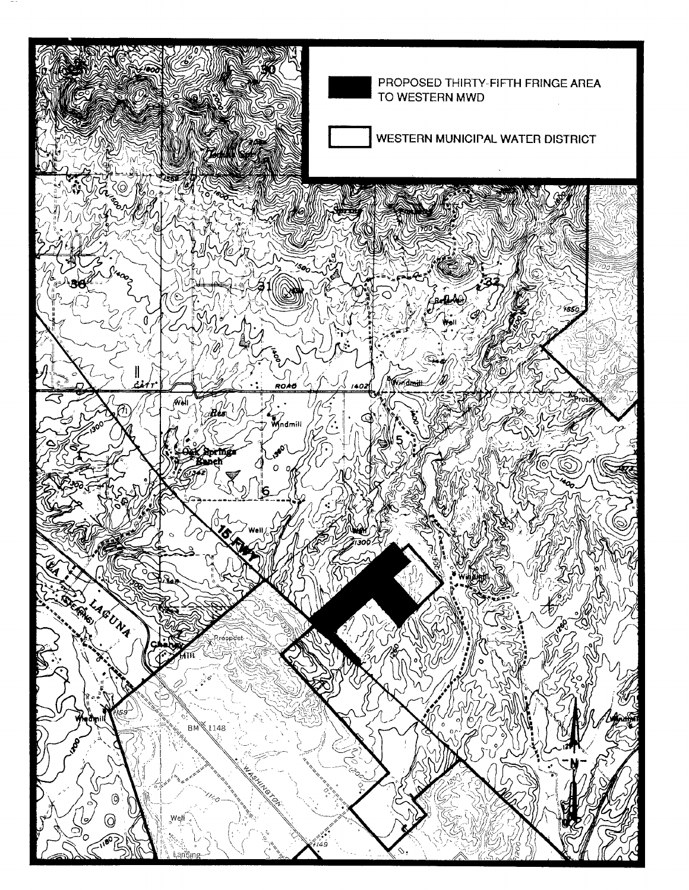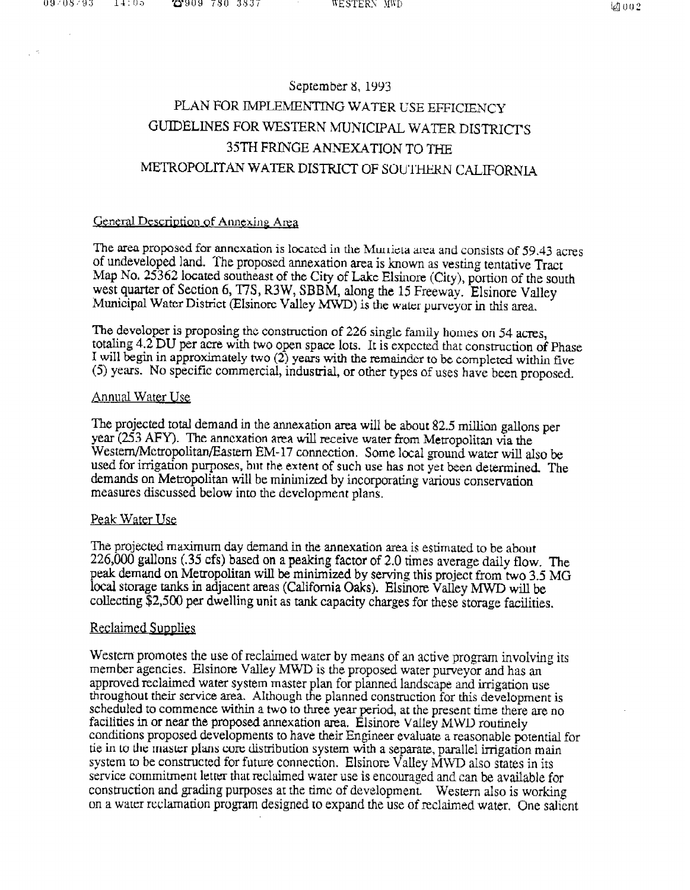# September 8, 1993 PLAN FOR IMPLEMENTING WATER USE EFFICIENCY GUIDELINES FOR WESTERN MUNICIPAL WATER DISTRICTS 3YTH FRINGE ANNEXATION TO THE METROPOLITAN WATER DISTRICT OF SOUTHERN CALIFORNIA

## General Description of Annexing Area

The area proposed for annexation is located in the Murrieta area and consists of 59.43 acres of undeveloped land. The proposed annexation area is known as vesting tentative Tract Map No. 25362 located southeast of the City of Lake Elsinore (City), portion of the south west quarter of Section 6, T7S, R3W, SBBM, along the 15 Freeway. Elsinore Valley Municipal Water District (EIsinore Valley MWD) is the water purveyor in this area.

The developer is proposing the construction of 226 single family homes on 54 acres, totaling  $4.2$  DU per acre with two open space lots. It is expected that construction of Phase I will begin in approximately two (2) years with the remainder to be completed within five (5) years. No specific commercial, industrial, or other types of uses have been proposed.

### Annual Water Use

The projected total demand in the annexation area will be about 82.5 million gallons per year (253 AFY). The annexation area will receive water from Metropolitan via the Western/Metropolitan/Eastern EM-17 connection. Some local ground water will also be used for irrigation purposes, but the extent of such use has not yet been determined. The demands on Metropolitan will be minimized by incorporating various conservation measures discussed below into the development plans.

### Peak Water Use

The projected maximum day demand in the annexation area is estimated to be about 226,000 gallons (.35 cfs) based on a peaking factor of 2.0 times average daily flow. The peak demand on Metropolitan will be minimized by serving this project from two 3,5 MG local storage tanks in adjacent areas (California Oaks). Elsinore Valley MWD will be collecting \$2,500 per dwelling unit as tank capacity charges for these storage facilities.

## Reclaimed Supplies

Western promotes the use of reclaimed water by means of an active program involving its member agencies. Elsinore Valley MWD is the proposed water purveyor and has an approved reclaimed water system master plan for planned landscape and irrigation use throughout their service area. Although the planned construction for this development is scheduled to commence within a two to three year period, at the present time there are no facilities in or near the proposed annexation area. Elsinore Valley MWD routinely conditions proposed developments to have their Engineer evaluate a reasonable potential for tie in to the master plans core distribution system with a separate, parallel irrigation main system to be constructed for future connection. Elsinore Valley MWD also states in its service commitment letter that reclaimed water use is encouraged and can be available for construction and grading purposes at the time of development. Western also is working on a warer reclamation program designed to expand the use of reclaimed water, One salient